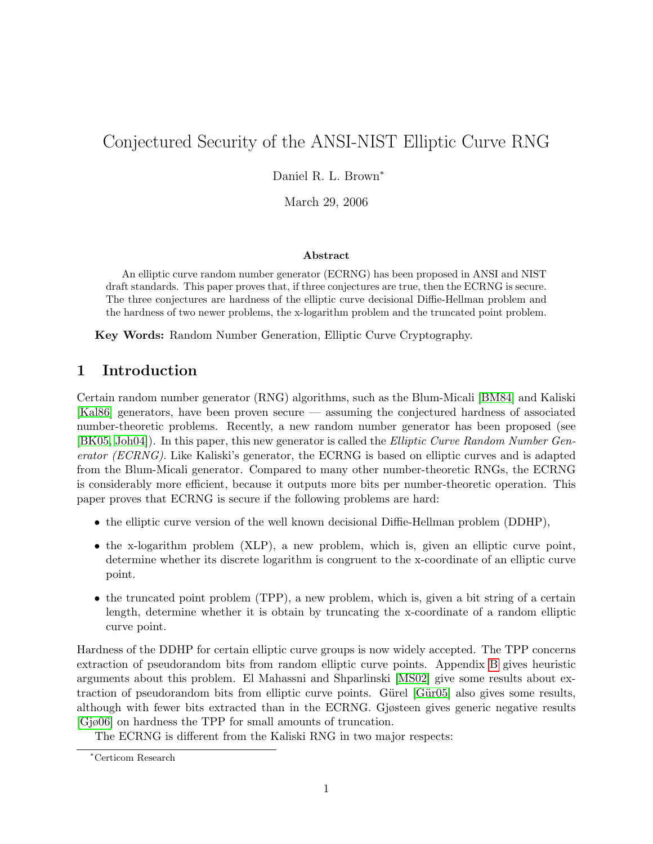# Conjectured Security of the ANSI-NIST Elliptic Curve RNG

Daniel R. L. Brown<sup>∗</sup>

March 29, 2006

#### Abstract

An elliptic curve random number generator (ECRNG) has been proposed in ANSI and NIST draft standards. This paper proves that, if three conjectures are true, then the ECRNG is secure. The three conjectures are hardness of the elliptic curve decisional Diffie-Hellman problem and the hardness of two newer problems, the x-logarithm problem and the truncated point problem.

Key Words: Random Number Generation, Elliptic Curve Cryptography.

# 1 Introduction

Certain random number generator (RNG) algorithms, such as the Blum-Micali [\[BM84\]](#page-10-0) and Kaliski [\[Kal86\]](#page-10-1) generators, have been proven secure — assuming the conjectured hardness of associated number-theoretic problems. Recently, a new random number generator has been proposed (see [\[BK05,](#page-10-2) [Joh04\]](#page-10-3)). In this paper, this new generator is called the Elliptic Curve Random Number Generator (ECRNG). Like Kaliski's generator, the ECRNG is based on elliptic curves and is adapted from the Blum-Micali generator. Compared to many other number-theoretic RNGs, the ECRNG is considerably more efficient, because it outputs more bits per number-theoretic operation. This paper proves that ECRNG is secure if the following problems are hard:

- the elliptic curve version of the well known decisional Diffie-Hellman problem (DDHP),
- the x-logarithm problem (XLP), a new problem, which is, given an elliptic curve point, determine whether its discrete logarithm is congruent to the x-coordinate of an elliptic curve point.
- the truncated point problem (TPP), a new problem, which is, given a bit string of a certain length, determine whether it is obtain by truncating the x-coordinate of a random elliptic curve point.

Hardness of the DDHP for certain elliptic curve groups is now widely accepted. The TPP concerns extraction of pseudorandom bits from random elliptic curve points. Appendix [B](#page-11-0) gives heuristic arguments about this problem. El Mahassni and Shparlinski [\[MS02\]](#page-10-4) give some results about extraction of pseudorandom bits from elliptic curve points. Gürel  $[Gür05]$  also gives some results, although with fewer bits extracted than in the ECRNG. Gjøsteen gives generic negative results [\[Gjø06\]](#page-10-6) on hardness the TPP for small amounts of truncation.

The ECRNG is different from the Kaliski RNG in two major respects:

<sup>∗</sup>Certicom Research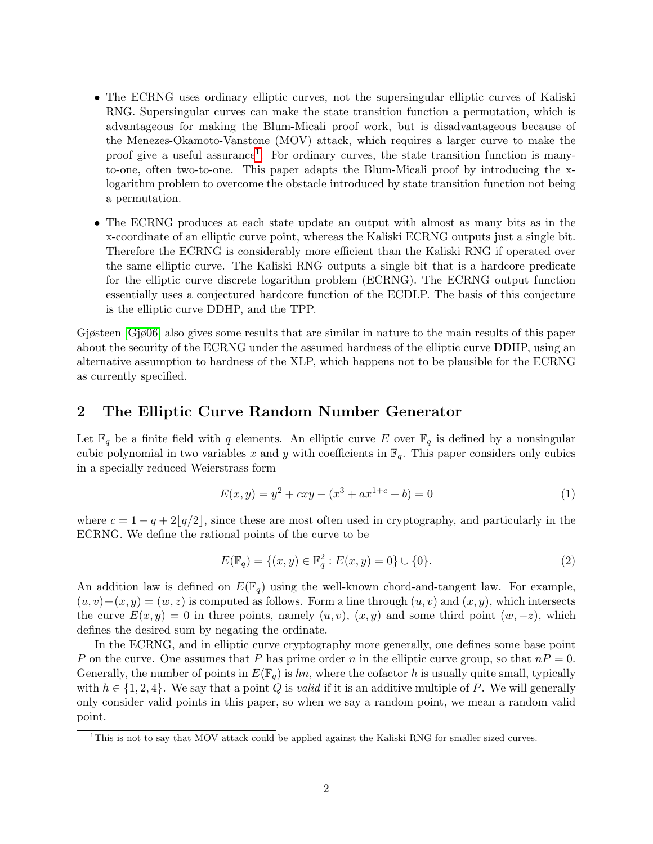- The ECRNG uses ordinary elliptic curves, not the supersingular elliptic curves of Kaliski RNG. Supersingular curves can make the state transition function a permutation, which is advantageous for making the Blum-Micali proof work, but is disadvantageous because of the Menezes-Okamoto-Vanstone (MOV) attack, which requires a larger curve to make the proof give a useful assurance<sup>[1](#page-1-0)</sup>. For ordinary curves, the state transition function is manyto-one, often two-to-one. This paper adapts the Blum-Micali proof by introducing the xlogarithm problem to overcome the obstacle introduced by state transition function not being a permutation.
- The ECRNG produces at each state update an output with almost as many bits as in the x-coordinate of an elliptic curve point, whereas the Kaliski ECRNG outputs just a single bit. Therefore the ECRNG is considerably more efficient than the Kaliski RNG if operated over the same elliptic curve. The Kaliski RNG outputs a single bit that is a hardcore predicate for the elliptic curve discrete logarithm problem (ECRNG). The ECRNG output function essentially uses a conjectured hardcore function of the ECDLP. The basis of this conjecture is the elliptic curve DDHP, and the TPP.

Gjøsteen [\[Gjø06\]](#page-10-6) also gives some results that are similar in nature to the main results of this paper about the security of the ECRNG under the assumed hardness of the elliptic curve DDHP, using an alternative assumption to hardness of the XLP, which happens not to be plausible for the ECRNG as currently specified.

# 2 The Elliptic Curve Random Number Generator

Let  $\mathbb{F}_q$  be a finite field with q elements. An elliptic curve E over  $\mathbb{F}_q$  is defined by a nonsingular cubic polynomial in two variables x and y with coefficients in  $\mathbb{F}_q$ . This paper considers only cubics in a specially reduced Weierstrass form

$$
E(x, y) = y2 + cxy - (x3 + ax1+c + b) = 0
$$
 (1)

where  $c = 1 - q + 2|q/2|$ , since these are most often used in cryptography, and particularly in the ECRNG. We define the rational points of the curve to be

$$
E(\mathbb{F}_q) = \{(x, y) \in \mathbb{F}_q^2 : E(x, y) = 0\} \cup \{0\}.
$$
 (2)

An addition law is defined on  $E(\mathbb{F}_q)$  using the well-known chord-and-tangent law. For example,  $(u, v)+(x, y) = (w, z)$  is computed as follows. Form a line through  $(u, v)$  and  $(x, y)$ , which intersects the curve  $E(x, y) = 0$  in three points, namely  $(u, v)$ ,  $(x, y)$  and some third point  $(w, -z)$ , which defines the desired sum by negating the ordinate.

In the ECRNG, and in elliptic curve cryptography more generally, one defines some base point P on the curve. One assumes that P has prime order n in the elliptic curve group, so that  $nP = 0$ . Generally, the number of points in  $E(\mathbb{F}_q)$  is hn, where the cofactor h is usually quite small, typically with  $h \in \{1, 2, 4\}$ . We say that a point Q is *valid* if it is an additive multiple of P. We will generally only consider valid points in this paper, so when we say a random point, we mean a random valid point.

<span id="page-1-0"></span><sup>&</sup>lt;sup>1</sup>This is not to say that MOV attack could be applied against the Kaliski RNG for smaller sized curves.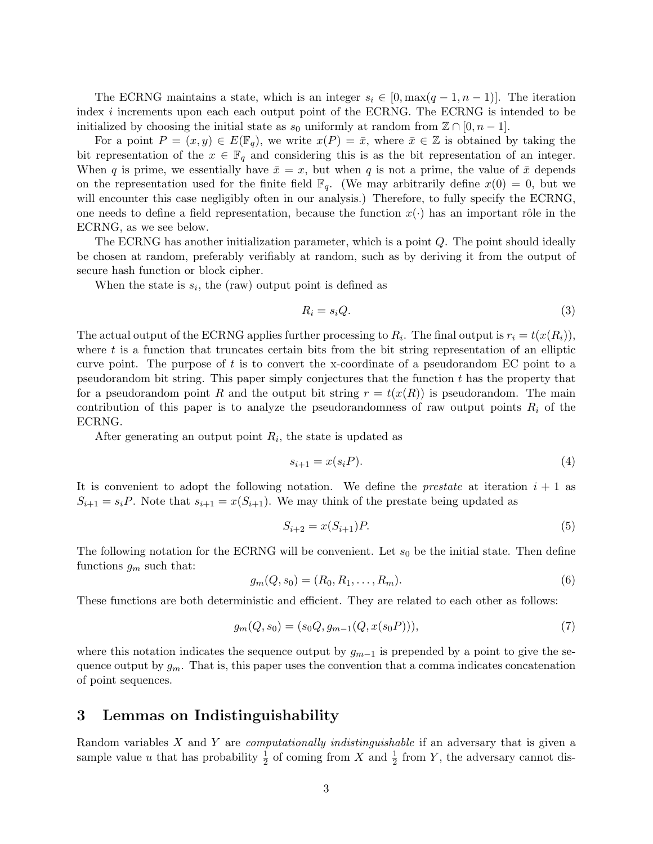The ECRNG maintains a state, which is an integer  $s_i \in [0, \max(q-1, n-1)]$ . The iteration index i increments upon each each output point of the ECRNG. The ECRNG is intended to be initialized by choosing the initial state as  $s_0$  uniformly at random from  $\mathbb{Z} \cap [0, n-1]$ .

For a point  $P = (x, y) \in E(\mathbb{F}_q)$ , we write  $x(P) = \bar{x}$ , where  $\bar{x} \in \mathbb{Z}$  is obtained by taking the bit representation of the  $x \in \mathbb{F}_q$  and considering this is as the bit representation of an integer. When q is prime, we essentially have  $\bar{x} = x$ , but when q is not a prime, the value of  $\bar{x}$  depends on the representation used for the finite field  $\mathbb{F}_q$ . (We may arbitrarily define  $x(0) = 0$ , but we will encounter this case negligibly often in our analysis.) Therefore, to fully specify the ECRNG, one needs to define a field representation, because the function  $x(\cdot)$  has an important rôle in the ECRNG, as we see below.

The ECRNG has another initialization parameter, which is a point  $Q$ . The point should ideally be chosen at random, preferably verifiably at random, such as by deriving it from the output of secure hash function or block cipher.

When the state is  $s_i$ , the (raw) output point is defined as

$$
R_i = s_i Q. \tag{3}
$$

The actual output of the ECRNG applies further processing to  $R_i$ . The final output is  $r_i = t(x(R_i))$ , where  $t$  is a function that truncates certain bits from the bit string representation of an elliptic curve point. The purpose of  $t$  is to convert the x-coordinate of a pseudorandom EC point to a pseudorandom bit string. This paper simply conjectures that the function  $t$  has the property that for a pseudorandom point R and the output bit string  $r = t(x(R))$  is pseudorandom. The main contribution of this paper is to analyze the pseudorandomness of raw output points  $R_i$  of the ECRNG.

After generating an output point  $R_i$ , the state is updated as

$$
s_{i+1} = x(s_i P). \tag{4}
$$

It is convenient to adopt the following notation. We define the *prestate* at iteration  $i + 1$  as  $S_{i+1} = s_i P$ . Note that  $s_{i+1} = x(S_{i+1})$ . We may think of the prestate being updated as

$$
S_{i+2} = x(S_{i+1})P.
$$
 (5)

The following notation for the ECRNG will be convenient. Let  $s_0$  be the initial state. Then define functions  $g_m$  such that:

$$
g_m(Q, s_0) = (R_0, R_1, \dots, R_m). \tag{6}
$$

These functions are both deterministic and efficient. They are related to each other as follows:

$$
g_m(Q, s_0) = (s_0Q, g_{m-1}(Q, x(s_0P))),
$$
\n<sup>(7)</sup>

where this notation indicates the sequence output by  $g_{m-1}$  is prepended by a point to give the sequence output by  $g_m$ . That is, this paper uses the convention that a comma indicates concatenation of point sequences.

# 3 Lemmas on Indistinguishability

Random variables X and Y are *computationally indistinguishable* if an adversary that is given a sample value u that has probability  $\frac{1}{2}$  of coming from X and  $\frac{1}{2}$  from Y, the adversary cannot dis-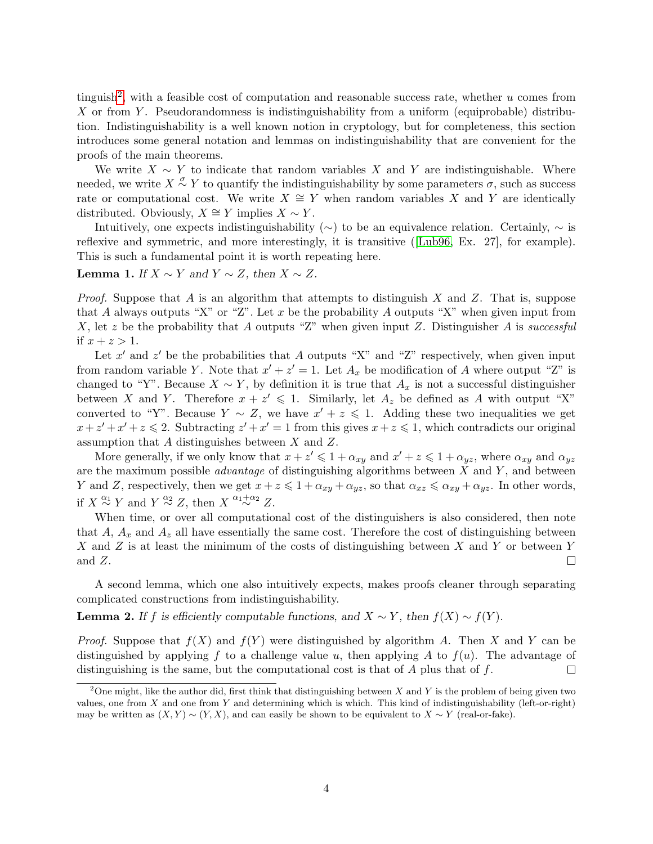tinguish<sup>[2](#page-3-0)</sup>, with a feasible cost of computation and reasonable success rate, whether  $u$  comes from X or from Y. Pseudorandomness is indistinguishability from a uniform (equiprobable) distribution. Indistinguishability is a well known notion in cryptology, but for completeness, this section introduces some general notation and lemmas on indistinguishability that are convenient for the proofs of the main theorems.

We write  $X \sim Y$  to indicate that random variables X and Y are indistinguishable. Where needed, we write  $X \stackrel{\sigma}{\sim} Y$  to quantify the indistinguishability by some parameters  $\sigma$ , such as success rate or computational cost. We write  $X \cong Y$  when random variables X and Y are identically distributed. Obviously,  $X \cong Y$  implies  $X \sim Y$ .

Intuitively, one expects indistinguishability ( $\sim$ ) to be an equivalence relation. Certainly,  $\sim$  is reflexive and symmetric, and more interestingly, it is transitive ([\[Lub96,](#page-10-7) Ex. 27], for example). This is such a fundamental point it is worth repeating here.

#### <span id="page-3-2"></span>**Lemma 1.** If  $X \sim Y$  and  $Y \sim Z$ , then  $X \sim Z$ .

*Proof.* Suppose that A is an algorithm that attempts to distinguish X and Z. That is, suppose that A always outputs "X" or "Z". Let x be the probability A outputs "X" when given input from X, let z be the probability that A outputs "Z" when given input Z. Distinguisher A is successful if  $x + z > 1$ .

Let  $x'$  and  $z'$  be the probabilities that A outputs "X" and "Z" respectively, when given input from random variable Y. Note that  $x' + z' = 1$ . Let  $A_x$  be modification of A where output "Z" is changed to "Y". Because  $X \sim Y$ , by definition it is true that  $A_x$  is not a successful distinguisher between X and Y. Therefore  $x + z' \leq 1$ . Similarly, let  $A_z$  be defined as A with output "X" converted to "Y". Because  $Y \sim Z$ , we have  $x' + z \leq 1$ . Adding these two inequalities we get  $x + z' + x' + z \le 2$ . Subtracting  $z' + x' = 1$  from this gives  $x + z \le 1$ , which contradicts our original assumption that A distinguishes between X and Z.

More generally, if we only know that  $x + z' \leq 1 + \alpha_{xy}$  and  $x' + z \leq 1 + \alpha_{yz}$ , where  $\alpha_{xy}$  and  $\alpha_{yz}$ are the maximum possible *advantage* of distinguishing algorithms between  $X$  and  $Y$ , and between Y and Z, respectively, then we get  $x + z \leq 1 + \alpha_{xy} + \alpha_{yz}$ , so that  $\alpha_{xz} \leq \alpha_{xy} + \alpha_{yz}$ . In other words, if  $X \stackrel{\alpha_1}{\sim} Y$  and  $Y \stackrel{\alpha_2}{\sim} Z$ , then  $X \stackrel{\alpha_1+\alpha_2}{\sim} Z$ .

When time, or over all computational cost of the distinguishers is also considered, then note that A,  $A_x$  and  $A_z$  all have essentially the same cost. Therefore the cost of distinguishing between X and Z is at least the minimum of the costs of distinguishing between X and Y or between Y and Z.  $\Box$ 

A second lemma, which one also intuitively expects, makes proofs cleaner through separating complicated constructions from indistinguishability.

<span id="page-3-1"></span>**Lemma 2.** If f is efficiently computable functions, and  $X \sim Y$ , then  $f(X) \sim f(Y)$ .

*Proof.* Suppose that  $f(X)$  and  $f(Y)$  were distinguished by algorithm A. Then X and Y can be distinguished by applying f to a challenge value u, then applying A to  $f(u)$ . The advantage of distinguishing is the same, but the computational cost is that of  $A$  plus that of  $f$ .  $\Box$ 

<span id="page-3-0"></span><sup>&</sup>lt;sup>2</sup>One might, like the author did, first think that distinguishing between X and Y is the problem of being given two values, one from  $X$  and one from  $Y$  and determining which is which. This kind of indistinguishability (left-or-right) may be written as  $(X, Y) \sim (Y, X)$ , and can easily be shown to be equivalent to  $X \sim Y$  (real-or-fake).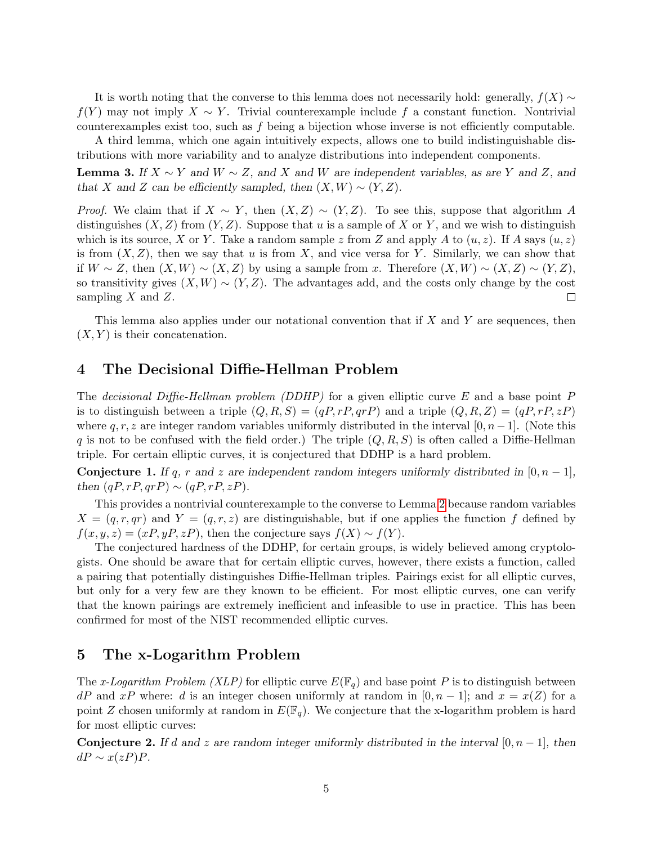It is worth noting that the converse to this lemma does not necessarily hold: generally,  $f(X) \sim$  $f(Y)$  may not imply  $X \sim Y$ . Trivial counterexample include f a constant function. Nontrivial counterexamples exist too, such as  $f$  being a bijection whose inverse is not efficiently computable.

A third lemma, which one again intuitively expects, allows one to build indistinguishable distributions with more variability and to analyze distributions into independent components.

<span id="page-4-1"></span>**Lemma 3.** If  $X \sim Y$  and  $W \sim Z$ , and X and W are independent variables, as are Y and Z, and that X and Z can be efficiently sampled, then  $(X, W) \sim (Y, Z)$ .

*Proof.* We claim that if  $X \sim Y$ , then  $(X, Z) \sim (Y, Z)$ . To see this, suppose that algorithm A distinguishes  $(X, Z)$  from  $(Y, Z)$ . Suppose that u is a sample of X or Y, and we wish to distinguish which is its source, X or Y. Take a random sample z from Z and apply A to  $(u, z)$ . If A says  $(u, z)$ is from  $(X, Z)$ , then we say that u is from X, and vice versa for Y. Similarly, we can show that if  $W \sim Z$ , then  $(X, W) \sim (X, Z)$  by using a sample from x. Therefore  $(X, W) \sim (X, Z) \sim (Y, Z)$ , so transitivity gives  $(X, W) \sim (Y, Z)$ . The advantages add, and the costs only change by the cost sampling  $X$  and  $Z$ .  $\Box$ 

This lemma also applies under our notational convention that if X and Y are sequences, then  $(X, Y)$  is their concatenation.

### 4 The Decisional Diffie-Hellman Problem

The *decisional Diffie-Hellman problem (DDHP)* for a given elliptic curve E and a base point P is to distinguish between a triple  $(Q, R, S) = (qP, rP, qrP)$  and a triple  $(Q, R, Z) = (qP, rP, zP)$ where  $q, r, z$  are integer random variables uniformly distributed in the interval  $[0, n-1]$ . (Note this q is not to be confused with the field order.) The triple  $(Q, R, S)$  is often called a Diffie-Hellman triple. For certain elliptic curves, it is conjectured that DDHP is a hard problem.

**Conjecture 1.** If q, r and z are independent random integers uniformly distributed in  $[0, n-1]$ , then  $(qP, rP, qrP) \sim (qP, rP, zP)$ .

This provides a nontrivial counterexample to the converse to Lemma [2](#page-3-1) because random variables  $X = (q, r, qr)$  and  $Y = (q, r, z)$  are distinguishable, but if one applies the function f defined by  $f(x, y, z) = (xP, yP, zP)$ , then the conjecture says  $f(X) \sim f(Y)$ .

The conjectured hardness of the DDHP, for certain groups, is widely believed among cryptologists. One should be aware that for certain elliptic curves, however, there exists a function, called a pairing that potentially distinguishes Diffie-Hellman triples. Pairings exist for all elliptic curves, but only for a very few are they known to be efficient. For most elliptic curves, one can verify that the known pairings are extremely inefficient and infeasible to use in practice. This has been confirmed for most of the NIST recommended elliptic curves.

# 5 The x-Logarithm Problem

The x-Logarithm Problem (XLP) for elliptic curve  $E(\mathbb{F}_q)$  and base point P is to distinguish between  $dP$  and  $xP$  where: d is an integer chosen uniformly at random in  $[0, n-1]$ ; and  $x = x(Z)$  for a point Z chosen uniformly at random in  $E(\mathbb{F}_q)$ . We conjecture that the x-logarithm problem is hard for most elliptic curves:

<span id="page-4-0"></span>**Conjecture 2.** If d and z are random integer uniformly distributed in the interval [0,  $n-1$ ], then  $dP \sim x(zP)P$ .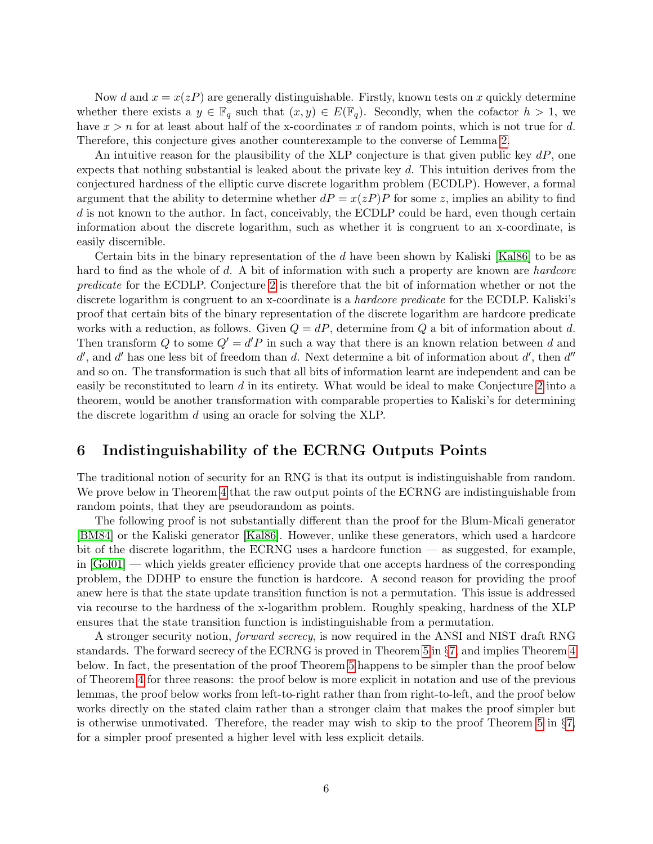Now d and  $x = x(zP)$  are generally distinguishable. Firstly, known tests on x quickly determine whether there exists a  $y \in \mathbb{F}_q$  such that  $(x, y) \in E(\mathbb{F}_q)$ . Secondly, when the cofactor  $h > 1$ , we have  $x > n$  for at least about half of the x-coordinates x of random points, which is not true for d. Therefore, this conjecture gives another counterexample to the converse of Lemma [2.](#page-3-1)

An intuitive reason for the plausibility of the XLP conjecture is that given public key  $dP$ , one expects that nothing substantial is leaked about the private key d. This intuition derives from the conjectured hardness of the elliptic curve discrete logarithm problem (ECDLP). However, a formal argument that the ability to determine whether  $dP = x(zP)P$  for some z, implies an ability to find d is not known to the author. In fact, conceivably, the ECDLP could be hard, even though certain information about the discrete logarithm, such as whether it is congruent to an x-coordinate, is easily discernible.

Certain bits in the binary representation of the d have been shown by Kaliski [\[Kal86\]](#page-10-1) to be as hard to find as the whole of d. A bit of information with such a property are known are *hardcore* predicate for the ECDLP. Conjecture [2](#page-4-0) is therefore that the bit of information whether or not the discrete logarithm is congruent to an x-coordinate is a *hardcore predicate* for the ECDLP. Kaliski's proof that certain bits of the binary representation of the discrete logarithm are hardcore predicate works with a reduction, as follows. Given  $Q = dP$ , determine from Q a bit of information about d. Then transform Q to some  $Q' = d'P$  in such a way that there is an known relation between d and  $d'$ , and  $d'$  has one less bit of freedom than d. Next determine a bit of information about  $d'$ , then  $d''$ and so on. The transformation is such that all bits of information learnt are independent and can be easily be reconstituted to learn d in its entirety. What would be ideal to make Conjecture [2](#page-4-0) into a theorem, would be another transformation with comparable properties to Kaliski's for determining the discrete logarithm d using an oracle for solving the XLP.

# 6 Indistinguishability of the ECRNG Outputs Points

The traditional notion of security for an RNG is that its output is indistinguishable from random. We prove below in Theorem [4](#page-5-0) that the raw output points of the ECRNG are indistinguishable from random points, that they are pseudorandom as points.

The following proof is not substantially different than the proof for the Blum-Micali generator [\[BM84\]](#page-10-0) or the Kaliski generator [\[Kal86\]](#page-10-1). However, unlike these generators, which used a hardcore bit of the discrete logarithm, the ECRNG uses a hardcore function — as suggested, for example, in [\[Gol01\]](#page-10-8) — which yields greater efficiency provide that one accepts hardness of the corresponding problem, the DDHP to ensure the function is hardcore. A second reason for providing the proof anew here is that the state update transition function is not a permutation. This issue is addressed via recourse to the hardness of the x-logarithm problem. Roughly speaking, hardness of the XLP ensures that the state transition function is indistinguishable from a permutation.

<span id="page-5-0"></span>A stronger security notion, forward secrecy, is now required in the ANSI and NIST draft RNG standards. The forward secrecy of the ECRNG is proved in Theorem [5](#page-7-0) in §[7,](#page-7-1) and implies Theorem [4](#page-5-0) below. In fact, the presentation of the proof Theorem [5](#page-7-0) happens to be simpler than the proof below of Theorem [4](#page-5-0) for three reasons: the proof below is more explicit in notation and use of the previous lemmas, the proof below works from left-to-right rather than from right-to-left, and the proof below works directly on the stated claim rather than a stronger claim that makes the proof simpler but is otherwise unmotivated. Therefore, the reader may wish to skip to the proof Theorem [5](#page-7-0) in  $\S7$ , for a simpler proof presented a higher level with less explicit details.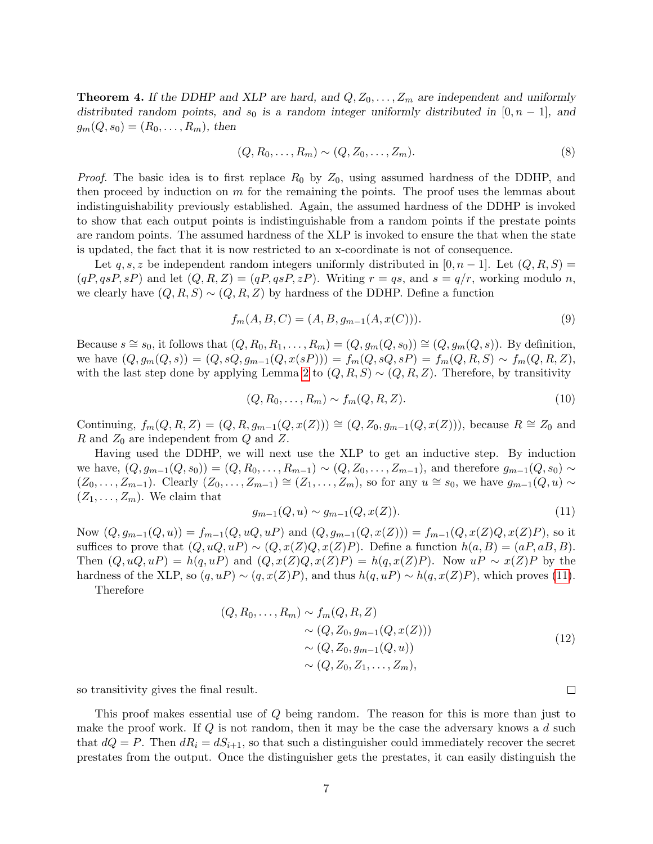**Theorem 4.** If the DDHP and XLP are hard, and  $Q, Z_0, \ldots, Z_m$  are independent and uniformly distributed random points, and s<sub>0</sub> is a random integer uniformly distributed in [0, n – 1], and  $g_m(Q, s_0) = (R_0, \ldots, R_m)$ , then

$$
(Q, R_0, \dots, R_m) \sim (Q, Z_0, \dots, Z_m).
$$
\n(8)

*Proof.* The basic idea is to first replace  $R_0$  by  $Z_0$ , using assumed hardness of the DDHP, and then proceed by induction on  $m$  for the remaining the points. The proof uses the lemmas about indistinguishability previously established. Again, the assumed hardness of the DDHP is invoked to show that each output points is indistinguishable from a random points if the prestate points are random points. The assumed hardness of the XLP is invoked to ensure the that when the state is updated, the fact that it is now restricted to an x-coordinate is not of consequence.

Let q, s, z be independent random integers uniformly distributed in [0, n – 1]. Let  $(Q, R, S)$  =  $(qP, qsP, sP)$  and let  $(Q, R, Z) = (qP, qsP, zP)$ . Writing  $r = qs$ , and  $s = q/r$ , working modulo n, we clearly have  $(Q, R, S) \sim (Q, R, Z)$  by hardness of the DDHP. Define a function

$$
f_m(A, B, C) = (A, B, g_{m-1}(A, x(C))).
$$
\n(9)

Because  $s \cong s_0$ , it follows that  $(Q, R_0, R_1, \ldots, R_m) = (Q, g_m(Q, s_0)) \cong (Q, g_m(Q, s))$ . By definition, we have  $(Q, g_m(Q, s)) = (Q, sQ, g_{m-1}(Q, x(sP))) = f_m(Q, sQ, sP) = f_m(Q, R, S) \sim f_m(Q, R, Z)$ , with the last step done by applying Lemma [2](#page-3-1) to  $(Q, R, S) \sim (Q, R, Z)$ . Therefore, by transitivity

$$
(Q, R_0, \dots, R_m) \sim f_m(Q, R, Z). \tag{10}
$$

Continuing,  $f_m(Q, R, Z) = (Q, R, g_{m-1}(Q, x(Z))) \cong (Q, Z_0, g_{m-1}(Q, x(Z))),$  because  $R \cong Z_0$  and R and  $Z_0$  are independent from Q and Z.

Having used the DDHP, we will next use the XLP to get an inductive step. By induction we have,  $(Q, g_{m-1}(Q, s_0)) = (Q, R_0, \ldots, R_{m-1}) \sim (Q, Z_0, \ldots, Z_{m-1})$ , and therefore  $g_{m-1}(Q, s_0) \sim$  $(Z_0, \ldots, Z_{m-1})$ . Clearly  $(Z_0, \ldots, Z_{m-1}) \cong (Z_1, \ldots, Z_m)$ , so for any  $u \cong s_0$ , we have  $g_{m-1}(Q, u) \sim$  $(Z_1, \ldots, Z_m)$ . We claim that

<span id="page-6-0"></span>
$$
g_{m-1}(Q, u) \sim g_{m-1}(Q, x(Z)).
$$
\n(11)

Now  $(Q, g_{m-1}(Q, u)) = f_{m-1}(Q, uQ, uP)$  and  $(Q, g_{m-1}(Q, x(Z))) = f_{m-1}(Q, x(Z)Q, x(Z)P)$ , so it suffices to prove that  $(Q, uQ, uP) \sim (Q, x(Z)Q, x(Z)P)$ . Define a function  $h(a, B) = (aP, aB, B)$ . Then  $(Q, uQ, uP) = h(q, uP)$  and  $(Q, x(Z)Q, x(Z)P) = h(q, x(Z)P)$ . Now  $uP \sim x(Z)P$  by the hardness of the XLP, so  $(q, uP) \sim (q, x(Z)P)$ , and thus  $h(q, uP) \sim h(q, x(Z)P)$ , which proves [\(11\)](#page-6-0).

Therefore

$$
(Q, R_0, ..., R_m) \sim f_m(Q, R, Z)
$$
  
\n
$$
\sim (Q, Z_0, g_{m-1}(Q, x(Z)))
$$
  
\n
$$
\sim (Q, Z_0, g_{m-1}(Q, u))
$$
  
\n
$$
\sim (Q, Z_0, Z_1, ..., Z_m),
$$
  
\n(12)

so transitivity gives the final result.

This proof makes essential use of Q being random. The reason for this is more than just to make the proof work. If  $Q$  is not random, then it may be the case the adversary knows a  $d$  such that  $dQ = P$ . Then  $dR_i = dS_{i+1}$ , so that such a distinguisher could immediately recover the secret prestates from the output. Once the distinguisher gets the prestates, it can easily distinguish the

 $\Box$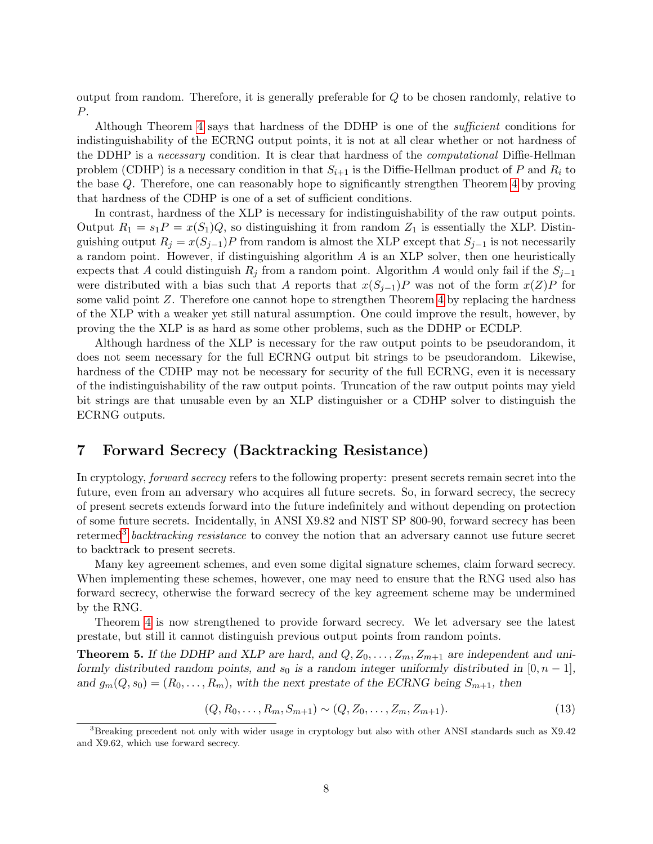output from random. Therefore, it is generally preferable for Q to be chosen randomly, relative to P.

Although Theorem [4](#page-5-0) says that hardness of the DDHP is one of the *sufficient* conditions for indistinguishability of the ECRNG output points, it is not at all clear whether or not hardness of the DDHP is a necessary condition. It is clear that hardness of the computational Diffie-Hellman problem (CDHP) is a necessary condition in that  $S_{i+1}$  is the Diffie-Hellman product of P and  $R_i$  to the base Q. Therefore, one can reasonably hope to significantly strengthen Theorem [4](#page-5-0) by proving that hardness of the CDHP is one of a set of sufficient conditions.

In contrast, hardness of the XLP is necessary for indistinguishability of the raw output points. Output  $R_1 = s_1 P = x(S_1)Q$ , so distinguishing it from random  $Z_1$  is essentially the XLP. Distinguishing output  $R_i = x(S_{i-1})P$  from random is almost the XLP except that  $S_{i-1}$  is not necessarily a random point. However, if distinguishing algorithm  $A$  is an XLP solver, then one heuristically expects that A could distinguish  $R_i$  from a random point. Algorithm A would only fail if the  $S_{i-1}$ were distributed with a bias such that A reports that  $x(S_{j-1})P$  was not of the form  $x(Z)P$  for some valid point  $Z$ . Therefore one cannot hope to strengthen Theorem  $4$  by replacing the hardness of the XLP with a weaker yet still natural assumption. One could improve the result, however, by proving the the XLP is as hard as some other problems, such as the DDHP or ECDLP.

Although hardness of the XLP is necessary for the raw output points to be pseudorandom, it does not seem necessary for the full ECRNG output bit strings to be pseudorandom. Likewise, hardness of the CDHP may not be necessary for security of the full ECRNG, even it is necessary of the indistinguishability of the raw output points. Truncation of the raw output points may yield bit strings are that unusable even by an XLP distinguisher or a CDHP solver to distinguish the ECRNG outputs.

# <span id="page-7-1"></span>7 Forward Secrecy (Backtracking Resistance)

In cryptology, forward secrecy refers to the following property: present secrets remain secret into the future, even from an adversary who acquires all future secrets. So, in forward secrecy, the secrecy of present secrets extends forward into the future indefinitely and without depending on protection of some future secrets. Incidentally, in ANSI X9.82 and NIST SP 800-90, forward secrecy has been retermed<sup>[3](#page-7-2)</sup> backtracking resistance to convey the notion that an adversary cannot use future secret to backtrack to present secrets.

Many key agreement schemes, and even some digital signature schemes, claim forward secrecy. When implementing these schemes, however, one may need to ensure that the RNG used also has forward secrecy, otherwise the forward secrecy of the key agreement scheme may be undermined by the RNG.

Theorem [4](#page-5-0) is now strengthened to provide forward secrecy. We let adversary see the latest prestate, but still it cannot distinguish previous output points from random points.

<span id="page-7-0"></span>**Theorem 5.** If the DDHP and XLP are hard, and  $Q, Z_0, \ldots, Z_m, Z_{m+1}$  are independent and uniformly distributed random points, and  $s_0$  is a random integer uniformly distributed in [0, n – 1], and  $g_m(Q, s_0) = (R_0, \ldots, R_m)$ , with the next prestate of the ECRNG being  $S_{m+1}$ , then

$$
(Q, R_0, \dots, R_m, S_{m+1}) \sim (Q, Z_0, \dots, Z_m, Z_{m+1}).
$$
\n(13)

<span id="page-7-2"></span><sup>3</sup>Breaking precedent not only with wider usage in cryptology but also with other ANSI standards such as X9.42 and X9.62, which use forward secrecy.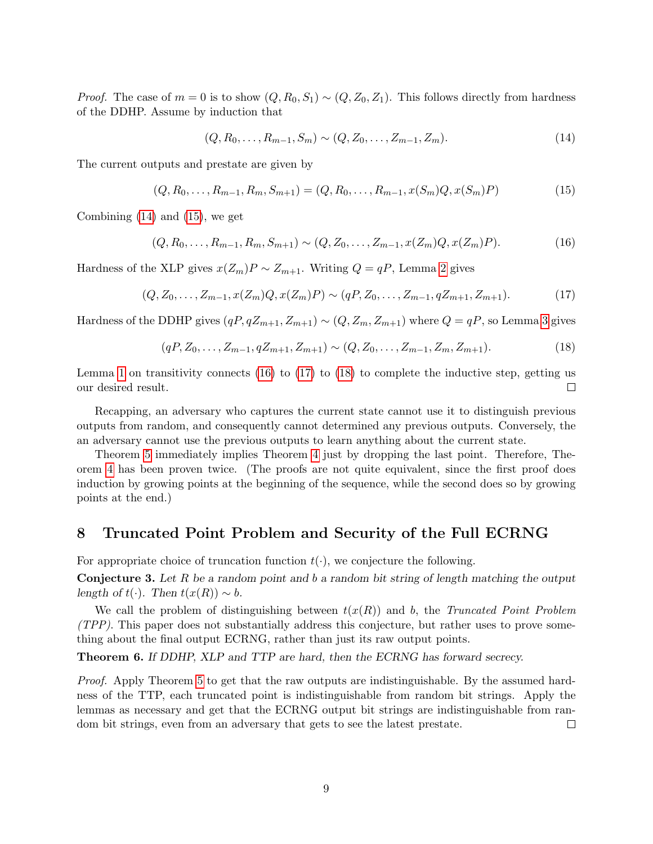*Proof.* The case of  $m = 0$  is to show  $(Q, R_0, S_1) \sim (Q, Z_0, Z_1)$ . This follows directly from hardness of the DDHP. Assume by induction that

<span id="page-8-0"></span>
$$
(Q, R_0, \dots, R_{m-1}, S_m) \sim (Q, Z_0, \dots, Z_{m-1}, Z_m).
$$
\n(14)

The current outputs and prestate are given by

<span id="page-8-1"></span>
$$
(Q, R_0, \dots, R_{m-1}, R_m, S_{m+1}) = (Q, R_0, \dots, R_{m-1}, x(S_m)Q, x(S_m)P)
$$
\n<sup>(15)</sup>

Combining [\(14\)](#page-8-0) and [\(15\)](#page-8-1), we get

<span id="page-8-2"></span>
$$
(Q, R_0, \dots, R_{m-1}, R_m, S_{m+1}) \sim (Q, Z_0, \dots, Z_{m-1}, x(Z_m)Q, x(Z_m)P). \tag{16}
$$

Hardness of the XLP gives  $x(Z_m)P \sim Z_{m+1}$ . Writing  $Q = qP$ , Lemma [2](#page-3-1) gives

<span id="page-8-3"></span>
$$
(Q, Z_0, \dots, Z_{m-1}, x(Z_m)Q, x(Z_m)P) \sim (qP, Z_0, \dots, Z_{m-1}, qZ_{m+1}, Z_{m+1}).
$$
\n(17)

Hardness of the DDHP gives  $(qP, qZ_{m+1}, Z_{m+1}) \sim (Q, Z_m, Z_{m+1})$  where  $Q = qP$ , so Lemma [3](#page-4-1) gives

<span id="page-8-4"></span>
$$
(qP, Z_0, \dots, Z_{m-1}, qZ_{m+1}, Z_{m+1}) \sim (Q, Z_0, \dots, Z_{m-1}, Z_m, Z_{m+1}).
$$
\n(18)

Lemma [1](#page-3-2) on transitivity connects  $(16)$  to  $(17)$  to  $(18)$  to complete the inductive step, getting us our desired result.  $\Box$ 

Recapping, an adversary who captures the current state cannot use it to distinguish previous outputs from random, and consequently cannot determined any previous outputs. Conversely, the an adversary cannot use the previous outputs to learn anything about the current state.

Theorem [5](#page-7-0) immediately implies Theorem [4](#page-5-0) just by dropping the last point. Therefore, Theorem [4](#page-5-0) has been proven twice. (The proofs are not quite equivalent, since the first proof does induction by growing points at the beginning of the sequence, while the second does so by growing points at the end.)

### 8 Truncated Point Problem and Security of the Full ECRNG

For appropriate choice of truncation function  $t(\cdot)$ , we conjecture the following.

**Conjecture 3.** Let R be a random point and b a random bit string of length matching the output length of t(·). Then  $t(x(R)) \sim b$ .

We call the problem of distinguishing between  $t(x(R))$  and b, the Truncated Point Problem (TPP). This paper does not substantially address this conjecture, but rather uses to prove something about the final output ECRNG, rather than just its raw output points.

Theorem 6. If DDHP, XLP and TTP are hard, then the ECRNG has forward secrecy.

Proof. Apply Theorem [5](#page-7-0) to get that the raw outputs are indistinguishable. By the assumed hardness of the TTP, each truncated point is indistinguishable from random bit strings. Apply the lemmas as necessary and get that the ECRNG output bit strings are indistinguishable from random bit strings, even from an adversary that gets to see the latest prestate.  $\Box$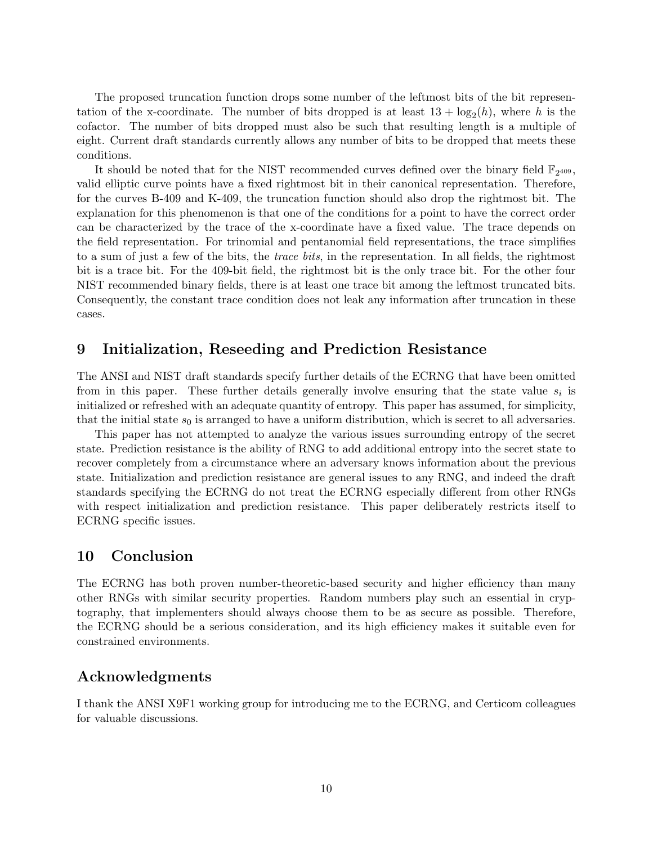The proposed truncation function drops some number of the leftmost bits of the bit representation of the x-coordinate. The number of bits dropped is at least  $13 + \log_2(h)$ , where h is the cofactor. The number of bits dropped must also be such that resulting length is a multiple of eight. Current draft standards currently allows any number of bits to be dropped that meets these conditions.

It should be noted that for the NIST recommended curves defined over the binary field  $\mathbb{F}_{2^{409}}$ , valid elliptic curve points have a fixed rightmost bit in their canonical representation. Therefore, for the curves B-409 and K-409, the truncation function should also drop the rightmost bit. The explanation for this phenomenon is that one of the conditions for a point to have the correct order can be characterized by the trace of the x-coordinate have a fixed value. The trace depends on the field representation. For trinomial and pentanomial field representations, the trace simplifies to a sum of just a few of the bits, the trace bits, in the representation. In all fields, the rightmost bit is a trace bit. For the 409-bit field, the rightmost bit is the only trace bit. For the other four NIST recommended binary fields, there is at least one trace bit among the leftmost truncated bits. Consequently, the constant trace condition does not leak any information after truncation in these cases.

# 9 Initialization, Reseeding and Prediction Resistance

The ANSI and NIST draft standards specify further details of the ECRNG that have been omitted from in this paper. These further details generally involve ensuring that the state value  $s_i$  is initialized or refreshed with an adequate quantity of entropy. This paper has assumed, for simplicity, that the initial state  $s_0$  is arranged to have a uniform distribution, which is secret to all adversaries.

This paper has not attempted to analyze the various issues surrounding entropy of the secret state. Prediction resistance is the ability of RNG to add additional entropy into the secret state to recover completely from a circumstance where an adversary knows information about the previous state. Initialization and prediction resistance are general issues to any RNG, and indeed the draft standards specifying the ECRNG do not treat the ECRNG especially different from other RNGs with respect initialization and prediction resistance. This paper deliberately restricts itself to ECRNG specific issues.

# 10 Conclusion

The ECRNG has both proven number-theoretic-based security and higher efficiency than many other RNGs with similar security properties. Random numbers play such an essential in cryptography, that implementers should always choose them to be as secure as possible. Therefore, the ECRNG should be a serious consideration, and its high efficiency makes it suitable even for constrained environments.

# Acknowledgments

I thank the ANSI X9F1 working group for introducing me to the ECRNG, and Certicom colleagues for valuable discussions.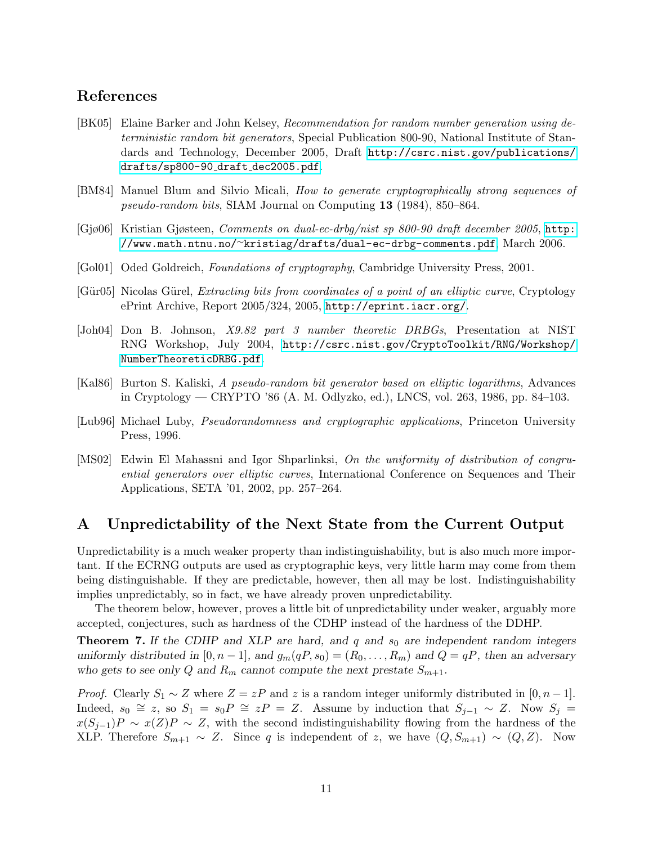# References

- <span id="page-10-2"></span>[BK05] Elaine Barker and John Kelsey, Recommendation for random number generation using deterministic random bit generators, Special Publication 800-90, National Institute of Standards and Technology, December 2005, Draft [http://csrc.nist.gov/publications/](http://csrc.nist.gov/publications/drafts/sp800-90_draft_dec2005.pdf) [drafts/sp800-90](http://csrc.nist.gov/publications/drafts/sp800-90_draft_dec2005.pdf) draft dec2005.pdf.
- <span id="page-10-0"></span>[BM84] Manuel Blum and Silvio Micali, How to generate cryptographically strong sequences of pseudo-random bits, SIAM Journal on Computing 13 (1984), 850–864.
- <span id="page-10-6"></span>[Gjø06] Kristian Gjøsteen, Comments on dual-ec-drbg/nist sp 800-90 draft december 2005, [http:](http://www.math.ntnu.no/~kristiag/drafts/dual-ec-drbg-comments.pdf) //www.math.ntnu.no/∼[kristiag/drafts/dual-ec-drbg-comments.pdf](http://www.math.ntnu.no/~kristiag/drafts/dual-ec-drbg-comments.pdf), March 2006.
- <span id="page-10-8"></span>[Gol01] Oded Goldreich, Foundations of cryptography, Cambridge University Press, 2001.
- <span id="page-10-5"></span>[Gür05] Nicolas Gürel, *Extracting bits from coordinates of a point of an elliptic curve*, Cryptology ePrint Archive, Report 2005/324, 2005, <http://eprint.iacr.org/>.
- <span id="page-10-3"></span>[Joh04] Don B. Johnson, X9.82 part 3 number theoretic DRBGs, Presentation at NIST RNG Workshop, July 2004, [http://csrc.nist.gov/CryptoToolkit/RNG/Workshop/](http://csrc.nist.gov/CryptoToolkit/RNG/Workshop/NumberTheoreticDRBG.pdf) [NumberTheoreticDRBG.pdf](http://csrc.nist.gov/CryptoToolkit/RNG/Workshop/NumberTheoreticDRBG.pdf).
- <span id="page-10-1"></span>[Kal86] Burton S. Kaliski, A pseudo-random bit generator based on elliptic logarithms, Advances in Cryptology — CRYPTO '86 (A. M. Odlyzko, ed.), LNCS, vol. 263, 1986, pp. 84–103.
- <span id="page-10-7"></span>[Lub96] Michael Luby, Pseudorandomness and cryptographic applications, Princeton University Press, 1996.
- <span id="page-10-4"></span>[MS02] Edwin El Mahassni and Igor Shparlinksi, On the uniformity of distribution of congruential generators over elliptic curves, International Conference on Sequences and Their Applications, SETA '01, 2002, pp. 257–264.

# A Unpredictability of the Next State from the Current Output

Unpredictability is a much weaker property than indistinguishability, but is also much more important. If the ECRNG outputs are used as cryptographic keys, very little harm may come from them being distinguishable. If they are predictable, however, then all may be lost. Indistinguishability implies unpredictably, so in fact, we have already proven unpredictability.

The theorem below, however, proves a little bit of unpredictability under weaker, arguably more accepted, conjectures, such as hardness of the CDHP instead of the hardness of the DDHP.

**Theorem 7.** If the CDHP and XLP are hard, and q and  $s_0$  are independent random integers uniformly distributed in [0, n – 1], and  $g_m(qP, s_0) = (R_0, \ldots, R_m)$  and  $Q = qP$ , then an adversary who gets to see only Q and  $R_m$  cannot compute the next prestate  $S_{m+1}$ .

*Proof.* Clearly  $S_1 \sim Z$  where  $Z = zP$  and z is a random integer uniformly distributed in [0, n – 1]. Indeed,  $s_0 \cong z$ , so  $S_1 = s_0 P \cong zP = Z$ . Assume by induction that  $S_{j-1} \sim Z$ . Now  $S_j =$  $x(S_{j-1})P \sim x(Z)P \sim Z$ , with the second indistinguishability flowing from the hardness of the XLP. Therefore  $S_{m+1} \sim Z$ . Since q is independent of z, we have  $(Q, S_{m+1}) \sim (Q, Z)$ . Now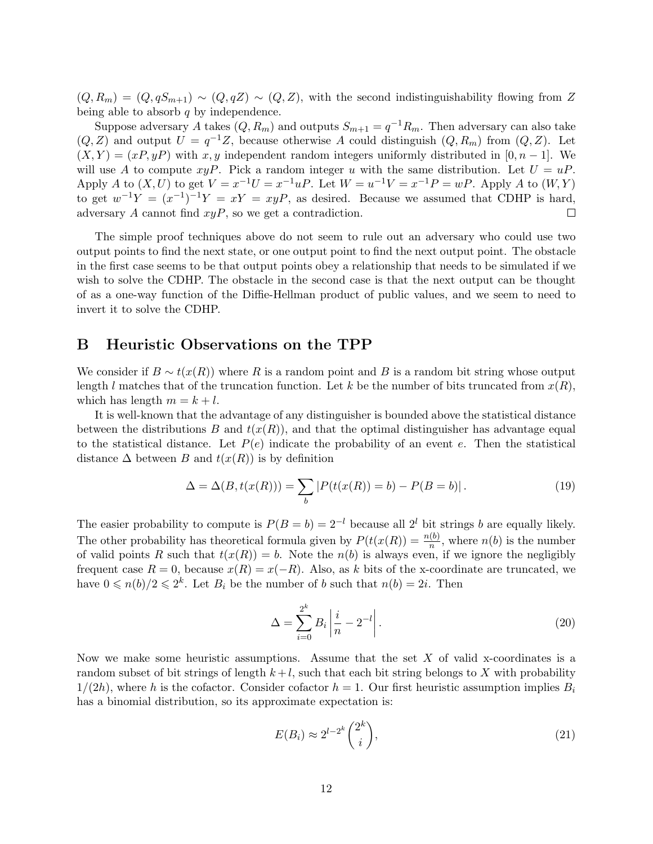$(Q, R_m) = (Q, qS_{m+1}) \sim (Q, qZ) \sim (Q, Z)$ , with the second indistinguishability flowing from Z being able to absorb  $q$  by independence.

Suppose adversary A takes  $(Q, R_m)$  and outputs  $S_{m+1} = q^{-1}R_m$ . Then adversary can also take  $(Q, Z)$  and output  $U = q^{-1}Z$ , because otherwise A could distinguish  $(Q, R_m)$  from  $(Q, Z)$ . Let  $(X, Y) = (xP, yP)$  with x, y independent random integers uniformly distributed in [0, n – 1]. We will use A to compute  $xyP$ . Pick a random integer u with the same distribution. Let  $U = uP$ . Apply A to  $(X, U)$  to get  $V = x^{-1}U = x^{-1}uP$ . Let  $W = u^{-1}V = x^{-1}P = wP$ . Apply A to  $(W, Y)$ to get  $w^{-1}Y = (x^{-1})^{-1}Y = xY = xyP$ , as desired. Because we assumed that CDHP is hard, adversary  $A$  cannot find  $xyP$ , so we get a contradiction.  $\Box$ 

The simple proof techniques above do not seem to rule out an adversary who could use two output points to find the next state, or one output point to find the next output point. The obstacle in the first case seems to be that output points obey a relationship that needs to be simulated if we wish to solve the CDHP. The obstacle in the second case is that the next output can be thought of as a one-way function of the Diffie-Hellman product of public values, and we seem to need to invert it to solve the CDHP.

### <span id="page-11-0"></span>B Heuristic Observations on the TPP

We consider if  $B \sim t(x(R))$  where R is a random point and B is a random bit string whose output length l matches that of the truncation function. Let k be the number of bits truncated from  $x(R)$ , which has length  $m = k + l$ .

It is well-known that the advantage of any distinguisher is bounded above the statistical distance between the distributions B and  $t(x(R))$ , and that the optimal distinguisher has advantage equal to the statistical distance. Let  $P(e)$  indicate the probability of an event e. Then the statistical distance  $\Delta$  between B and  $t(x(R))$  is by definition

<span id="page-11-1"></span>
$$
\Delta = \Delta(B, t(x(R))) = \sum_{b} |P(t(x(R))) = b) - P(B = b)|.
$$
\n(19)

The easier probability to compute is  $P(B = b) = 2^{-l}$  because all  $2^{l}$  bit strings b are equally likely. The other probability has theoretical formula given by  $P(t(x(R)) = \frac{n(b)}{n}$ , where  $n(b)$  is the number of valid points R such that  $t(x(R)) = b$ . Note the  $n(b)$  is always even, if we ignore the negligibly frequent case  $R = 0$ , because  $x(R) = x(-R)$ . Also, as k bits of the x-coordinate are truncated, we have  $0 \le n(b)/2 \le 2^k$ . Let  $B_i$  be the number of b such that  $n(b) = 2i$ . Then

$$
\Delta = \sum_{i=0}^{2^k} B_i \left| \frac{i}{n} - 2^{-l} \right|.
$$
\n(20)

Now we make some heuristic assumptions. Assume that the set  $X$  of valid x-coordinates is a random subset of bit strings of length  $k+l$ , such that each bit string belongs to X with probability  $1/(2h)$ , where h is the cofactor. Consider cofactor  $h = 1$ . Our first heuristic assumption implies  $B_i$ has a binomial distribution, so its approximate expectation is:

$$
E(B_i) \approx 2^{l-2^k} \binom{2^k}{i},\tag{21}
$$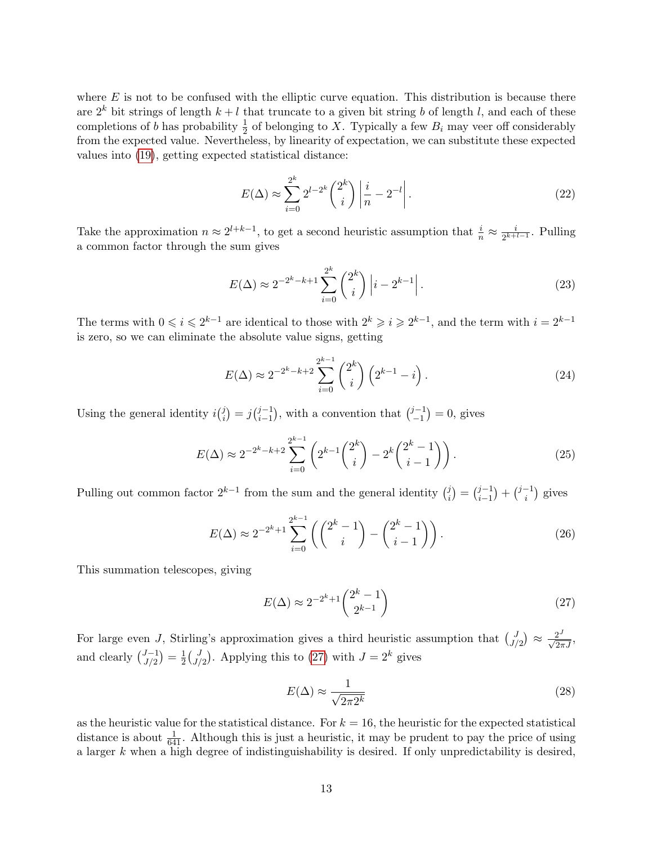where  $E$  is not to be confused with the elliptic curve equation. This distribution is because there are  $2^k$  bit strings of length  $k + l$  that truncate to a given bit string b of length l, and each of these completions of b has probability  $\frac{1}{2}$  of belonging to X. Typically a few  $B_i$  may veer off considerably from the expected value. Nevertheless, by linearity of expectation, we can substitute these expected values into [\(19\)](#page-11-1), getting expected statistical distance:

$$
E(\Delta) \approx \sum_{i=0}^{2^k} 2^{l-2^k} {2^k \choose i} \left| \frac{i}{n} - 2^{-l} \right|.
$$
 (22)

Take the approximation  $n \approx 2^{l+k-1}$ , to get a second heuristic assumption that  $\frac{i}{n} \approx \frac{i}{2^{k+1}}$  $\frac{i}{2^{k+l-1}}$ . Pulling a common factor through the sum gives

$$
E(\Delta) \approx 2^{-2^{k}-k+1} \sum_{i=0}^{2^{k}} \binom{2^{k}}{i} \left| i - 2^{k-1} \right|.
$$
 (23)

The terms with  $0 \leq i \leq 2^{k-1}$  are identical to those with  $2^k \geq i \geq 2^{k-1}$ , and the term with  $i = 2^{k-1}$ is zero, so we can eliminate the absolute value signs, getting

$$
E(\Delta) \approx 2^{-2^{k}-k+2} \sum_{i=0}^{2^{k}-1} {2^{k} \choose i} \left( 2^{k-1} - i \right).
$$
 (24)

Using the general identity  $i^{j}_{i}$  $i_j^{j}$  =  $j_{i-1}^{j-1}$  $j-1 \choose i-1}$ , with a convention that  $\binom{j-1}{-1}$  $\binom{j-1}{-1} = 0$ , gives

$$
E(\Delta) \approx 2^{-2^k - k + 2} \sum_{i=0}^{2^{k-1}} \left( 2^{k-1} {2^k \choose i} - 2^k {2^k - 1 \choose i-1} \right). \tag{25}
$$

Pulling out common factor  $2^{k-1}$  from the sum and the general identity  $\binom{j}{i}$  $\binom{j}{i} = \binom{j-1}{i-1}$  $\binom{j-1}{i-1} + \binom{j-1}{i}$  $i^{-1}$ ) gives

$$
E(\Delta) \approx 2^{-2^k + 1} \sum_{i=0}^{2^{k-1}} \left( \binom{2^k - 1}{i} - \binom{2^k - 1}{i - 1} \right).
$$
 (26)

This summation telescopes, giving

<span id="page-12-0"></span>
$$
E(\Delta) \approx 2^{-2^k + 1} \binom{2^k - 1}{2^{k-1}}
$$
\n
$$
(27)
$$

For large even J, Stirling's approximation gives a third heuristic assumption that  $\begin{pmatrix} J \\ J \end{pmatrix}$  $J_{J/2}^{J}$   $\approx \frac{2^{J}}{\sqrt{2\pi J}}$ , and clearly  $\binom{J-1}{I/2}$  $\binom{J-1}{J/2} = \frac{1}{2}$  $\frac{1}{2} \Big(\frac{J}{J}$  $J_{J/2}^{J}$ . Applying this to [\(27\)](#page-12-0) with  $J = 2^k$  gives

<span id="page-12-1"></span>
$$
E(\Delta) \approx \frac{1}{\sqrt{2\pi 2^k}}\tag{28}
$$

as the heuristic value for the statistical distance. For  $k = 16$ , the heuristic for the expected statistical distance is about  $\frac{1}{641}$ . Although this is just a heuristic, it may be prudent to pay the price of using a larger  $k$  when a high degree of indistinguishability is desired. If only unpredictability is desired,